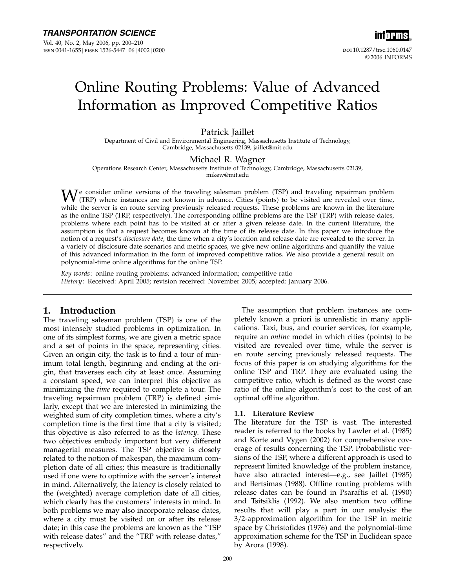

# Online Routing Problems: Value of Advanced Information as Improved Competitive Ratios

# Patrick Jaillet

Department of Civil and Environmental Engineering, Massachusetts Institute of Technology, Cambridge, Massachusetts 02139, jaillet@mit.edu

### Michael R. Wagner

Operations Research Center, Massachusetts Institute of Technology, Cambridge, Massachusetts 02139, mikew@mit.edu

 $\mathbf{W}^{\text{e}}$  consider online versions of the traveling salesman problem (TSP) and traveling repairman problem (TRP) where instances are not known in advance. Cities (points) to be visited are revealed over time, which i while the server is en route serving previously released requests. These problems are known in the literature as the online TSP (TRP, respectively). The corresponding offline problems are the TSP (TRP) with release dates, problems where each point has to be visited at or after a given release date. In the current literature, the assumption is that a request becomes known at the time of its release date. In this paper we introduce the notion of a request's disclosure date, the time when a city's location and release date are revealed to the server. In a variety of disclosure date scenarios and metric spaces, we give new online algorithms and quantify the value of this advanced information in the form of improved competitive ratios. We also provide a general result on polynomial-time online algorithms for the online TSP.

Key words: online routing problems; advanced information; competitive ratio History: Received: April 2005; revision received: November 2005; accepted: January 2006.

# 1. Introduction

The traveling salesman problem (TSP) is one of the most intensely studied problems in optimization. In one of its simplest forms, we are given a metric space and a set of points in the space, representing cities. Given an origin city, the task is to find a tour of minimum total length, beginning and ending at the origin, that traverses each city at least once. Assuming a constant speed, we can interpret this objective as minimizing the time required to complete a tour. The traveling repairman problem (TRP) is defined similarly, except that we are interested in minimizing the weighted sum of city completion times, where a city's completion time is the first time that a city is visited; this objective is also referred to as the *latency*. These two objectives embody important but very different managerial measures. The TSP objective is closely related to the notion of makespan, the maximum completion date of all cities; this measure is traditionally used if one were to optimize with the server's interest in mind. Alternatively, the latency is closely related to the (weighted) average completion date of all cities, which clearly has the customers' interests in mind. In both problems we may also incorporate release dates, where a city must be visited on or after its release date; in this case the problems are known as the "TSP with release dates" and the "TRP with release dates," respectively.

The assumption that problem instances are completely known a priori is unrealistic in many applications. Taxi, bus, and courier services, for example, require an *online* model in which cities (points) to be visited are revealed over time, while the server is en route serving previously released requests. The focus of this paper is on studying algorithms for the online TSP and TRP. They are evaluated using the competitive ratio, which is defined as the worst case ratio of the online algorithm's cost to the cost of an optimal offline algorithm.

## 1.1. Literature Review

The literature for the TSP is vast. The interested reader is referred to the books by Lawler et al. (1985) and Korte and Vygen (2002) for comprehensive coverage of results concerning the TSP. Probabilistic versions of the TSP, where a different approach is used to represent limited knowledge of the problem instance, have also attracted interest—e.g., see Jaillet (1985) and Bertsimas (1988). Offline routing problems with release dates can be found in Psaraftis et al. (1990) and Tsitsiklis (1992). We also mention two offline results that will play a part in our analysis: the  $3/2$ -approximation algorithm for the TSP in metric space by Christofides (1976) and the polynomial-time approximation scheme for the TSP in Euclidean space by Arora (1998).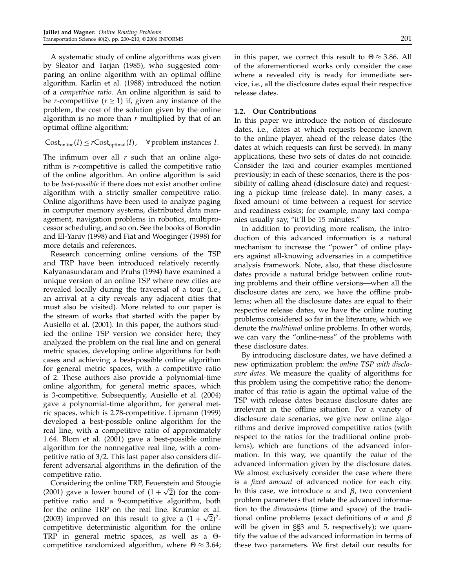A systematic study of online algorithms was given by Sleator and Tarjan (1985), who suggested comparing an online algorithm with an optimal offline algorithm. Karlin et al. (1988) introduced the notion of a competitive ratio. An online algorithm is said to be *r*-competitive ( $r \ge 1$ ) if, given any instance of the problem, the cost of the solution given by the online algorithm is no more than  $r$  multiplied by that of an optimal offline algorithm:

Cost<sub>online</sub>
$$
(I) \leq r
$$
Cost<sub>optimal</sub> $(I)$ ,  $\forall$  problem instances  $I$ .

The infimum over all  $r$  such that an online algorithm is  $r$ -competitive is called the competitive ratio of the online algorithm. An online algorithm is said to be best-possible if there does not exist another online algorithm with a strictly smaller competitive ratio. Online algorithms have been used to analyze paging in computer memory systems, distributed data management, navigation problems in robotics, multiprocessor scheduling, and so on. See the books of Borodin and El-Yaniv (1998) and Fiat and Woeginger (1998) for more details and references.

Research concerning online versions of the TSP and TRP have been introduced relatively recently. Kalyanasundaram and Pruhs (1994) have examined a unique version of an online TSP where new cities are revealed locally during the traversal of a tour (i.e., an arrival at a city reveals any adjacent cities that must also be visited). More related to our paper is the stream of works that started with the paper by Ausiello et al. (2001). In this paper, the authors studied the online TSP version we consider here; they analyzed the problem on the real line and on general metric spaces, developing online algorithms for both cases and achieving a best-possible online algorithm for general metric spaces, with a competitive ratio of 2. These authors also provide a polynomial-time online algorithm, for general metric spaces, which is 3-competitive. Subsequently, Ausiello et al. (2004) gave a polynomial-time algorithm, for general metric spaces, which is 2.78-competitive. Lipmann (1999) developed a best-possible online algorithm for the real line, with a competitive ratio of approximately 164. Blom et al. (2001) gave a best-possible online algorithm for the nonnegative real line, with a competitive ratio of 3/2. This last paper also considers different adversarial algorithms in the definition of the competitive ratio.

Considering the online TRP, Feuerstein and Stougie (2001) gave a lower bound of  $(1 + \sqrt{2})$  for the competitive ratio and a 9-competitive algorithm, both for the online TRP on the real line. Krumke et al. (2003) improved on this result to give a  $(1 + \sqrt{2})^2$ competitive deterministic algorithm for the online TRP in general metric spaces, as well as a  $\Theta$ competitive randomized algorithm, where  $\Theta \approx 3.64$ ;

in this paper, we correct this result to  $\Theta \approx 3.86$ . All of the aforementioned works only consider the case where a revealed city is ready for immediate service, i.e., all the disclosure dates equal their respective release dates.

### 1.2. Our Contributions

In this paper we introduce the notion of disclosure dates, i.e., dates at which requests become known to the online player, ahead of the release dates (the dates at which requests can first be served). In many applications, these two sets of dates do not coincide. Consider the taxi and courier examples mentioned previously; in each of these scenarios, there is the possibility of calling ahead (disclosure date) and requesting a pickup time (release date). In many cases, a fixed amount of time between a request for service and readiness exists; for example, many taxi companies usually say, "it'll be 15 minutes."

In addition to providing more realism, the introduction of this advanced information is a natural mechanism to increase the "power" of online players against all-knowing adversaries in a competitive analysis framework. Note, also, that these disclosure dates provide a natural bridge between online routing problems and their offline versions—when all the disclosure dates are zero, we have the offline problems; when all the disclosure dates are equal to their respective release dates, we have the online routing problems considered so far in the literature, which we denote the traditional online problems. In other words, we can vary the "online-ness" of the problems with these disclosure dates.

By introducing disclosure dates, we have defined a new optimization problem: the online TSP with disclosure dates. We measure the quality of algorithms for this problem using the competitive ratio; the denominator of this ratio is again the optimal value of the TSP with release dates because disclosure dates are irrelevant in the offline situation. For a variety of disclosure date scenarios, we give new online algorithms and derive improved competitive ratios (with respect to the ratios for the traditional online problems), which are functions of the advanced information. In this way, we quantify the value of the advanced information given by the disclosure dates. We almost exclusively consider the case where there is a fixed amount of advanced notice for each city. In this case, we introduce  $\alpha$  and  $\beta$ , two convenient problem parameters that relate the advanced information to the *dimensions* (time and space) of the traditional online problems (exact definitions of  $\alpha$  and  $\beta$ will be given in  $\S$ §3 and 5, respectively); we quantify the value of the advanced information in terms of these two parameters. We first detail our results for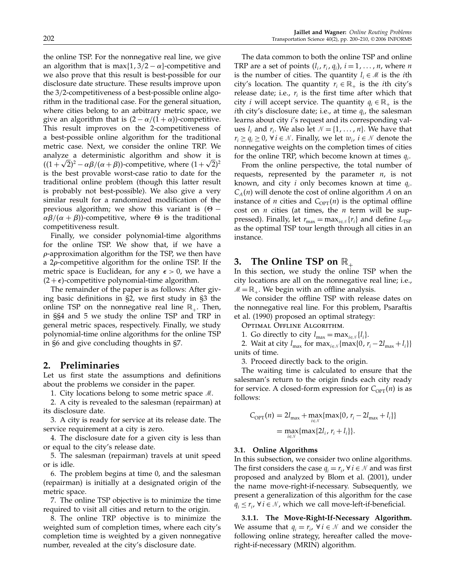the online TSP. For the nonnegative real line, we give an algorithm that is max $\{1, 3/2 - \alpha\}$ -competitive and we also prove that this result is best-possible for our disclosure date structure. These results improve upon the 3/2-competitiveness of a best-possible online algorithm in the traditional case. For the general situation, where cities belong to an arbitrary metric space, we give an algorithm that is  $(2 - \alpha/(1 + \alpha))$ -competitive. This result improves on the 2-competitiveness of a best-possible online algorithm for the traditional metric case. Next, we consider the online TRP. We analyze a deterministic algorithm and show it is  $((1 + \sqrt{2})^2 - \alpha \beta/(\alpha + \beta))$ -competitive, where  $(1 + \sqrt{2})^2$ is the best provable worst-case ratio to date for the traditional online problem (though this latter result is probably not best-possible). We also give a very similar result for a randomized modification of the previous algorithm; we show this variant is  $(\Theta \alpha\beta/(\alpha + \beta)$ )-competitive, where  $\Theta$  is the traditional competitiveness result.

Finally, we consider polynomial-time algorithms for the online TSP. We show that, if we have a  $\rho$ -approximation algorithm for the TSP, we then have a  $2\rho$ -competitive algorithm for the online TSP. If the metric space is Euclidean, for any  $\epsilon > 0$ , we have a  $(2 + \epsilon)$ -competitive polynomial-time algorithm.

The remainder of the paper is as follows: After giving basic definitions in §2, we first study in §3 the online TSP on the nonnegative real line  $\mathbb{R}_+$ . Then, in §§4 and 5 we study the online TSP and TRP in general metric spaces, respectively. Finally, we study polynomial-time online algorithms for the online TSP in §6 and give concluding thoughts in §7.

## 2. Preliminaries

Let us first state the assumptions and definitions about the problems we consider in the paper.

1. City locations belong to some metric space  $\mathcal{M}$ .

2. A city is revealed to the salesman(repairman) at its disclosure date.

3. A city is ready for service at its release date. The service requirement at a city is zero.

4. The disclosure date for a given city is less than or equal to the city's release date.

5. The salesman (repairman) travels at unit speed or is idle.

6. The problem begins at time 0, and the salesman (repairman) is initially at a designated origin of the metric space.

7. The online TSP objective is to minimize the time required to visit all cities and return to the origin.

8. The online TRP objective is to minimize the weighted sum of completion times, where each city's completion time is weighted by a given nonnegative number, revealed at the city's disclosure date.

The data common to both the online TSP and online TRP are a set of points  $(l_i, r_i, q_i)$ ,  $i = 1, \dots, n$ , where n is the number of cities. The quantity  $l_i \in \mathcal{M}$  is the *i*th city's location. The quantity  $r_i \in \mathbb{R}_+$  is the *i*th city's release date; i.e.,  $r_i$  is the first time after which that city *i* will accept service. The quantity  $q_i \in \mathbb{R}_+$  is the *i*th city's disclosure date; i.e., at time  $q_i$ , the salesman learns about city i's request and its corresponding values  $l_i$  and  $r_i$ . We also let  $\mathcal{N} = \{1, \ldots, n\}$ . We have that  $r_i \ge q_i \ge 0$ ,  $\forall i \in \mathcal{N}$ . Finally, we let  $w_i$ ,  $i \in \mathcal{N}$  denote the nonnegative weights on the completion times of cities for the online TRP, which become known at times  $q_i$ .

From the online perspective, the total number of requests, represented by the parameter  $n<sub>i</sub>$  is not known, and city i only becomes known at time  $q_i$ .  $C_A(n)$  will denote the cost of online algorithm A on an instance of *n* cities and  $C_{\text{OPT}}(n)$  is the optimal offline cost on  $n$  cities (at times, the  $n$  term will be suppressed). Finally, let  $r_{\text{max}} = \max_{i \in \mathcal{N}} \{r_i\}$  and define  $L_{\text{TSP}}$ as the optimal TSP tour length through all cities in an instance.

# 3. The Online TSP on  $\mathbb{R}_+$

In this section, we study the online TSP when the city locations are all on the nonnegative real line; i.e.,  $M = \mathbb{R}_+$ . We begin with an offline analysis.

We consider the offline TSP with release dates on the nonnegative real line. For this problem, Psaraftis et al. (1990) proposed an optimal strategy:

Optimal Offline Algorithm.

1. Go directly to city  $l_{\max} = \max_{i \in \mathcal{N}} \{l_i\}.$ 

2. Wait at city  $l_{\text{max}}$  for  $\max_{i \in \mathcal{N}} \{ \max\{0, r_i - 2l_{\text{max}} + l_i\} \}$ units of time.

3. Proceed directly back to the origin.

The waiting time is calculated to ensure that the salesman's return to the origin finds each city ready for service. A closed-form expression for  $C_{\text{OPT}}(n)$  is as follows:

$$
C_{\text{OPT}}(n) = 2l_{\max} + \max_{i \in \mathcal{N}} \{ \max\{0, r_i - 2l_{\max} + l_i\} \}
$$
  
= 
$$
\max_{i \in \mathcal{N}} \{ \max\{2l_i, r_i + l_i\} \}.
$$

#### 3.1. Online Algorithms

In this subsection, we consider two online algorithms. The first considers the case  $q_i = r_i$ ,  $\forall i \in \mathcal{N}$  and was first proposed and analyzed by Blom et al. (2001), under the name move-right-if-necessary. Subsequently, we present a generalization of this algorithm for the case  $q_i \le r_i$ ,  $\forall i \in \mathcal{N}$ , which we call move-left-if-beneficial.

3.1.1. The Move-Right-If-Necessary Algorithm. We assume that  $q_i = r_i$ ,  $\forall i \in \mathcal{N}$  and we consider the following online strategy, hereafter called the moveright-if-necessary (MRIN) algorithm.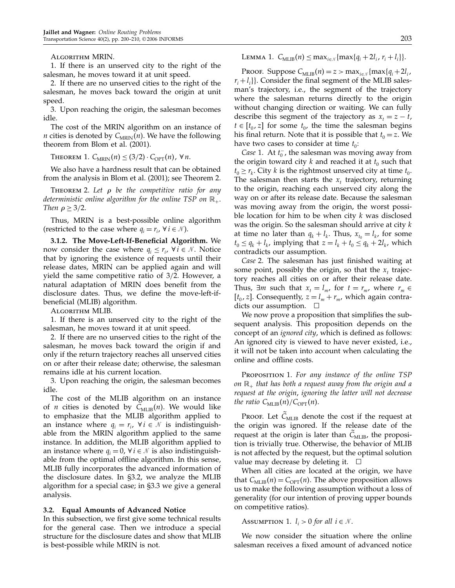Algorithm MRIN.

1. If there is an unserved city to the right of the salesman, he moves toward it at unit speed.

2. If there are no unserved cities to the right of the salesman, he moves back toward the origin at unit speed.

3. Upon reaching the origin, the salesman becomes idle.

The cost of the MRIN algorithm on an instance of *n* cities is denoted by  $C_{MRIN}(n)$ . We have the following theorem from Blom et al. (2001).

THEOREM 1.  $C_{\text{MRIN}}(n) \leq (3/2) \cdot C_{\text{OPT}}(n)$ ,  $\forall n$ .

We also have a hardness result that can be obtained from the analysis in Blom et al. (2001); see Theorem 2.

THEOREM 2. Let  $\rho$  be the competitive ratio for any deterministic online algorithm for the online TSP on  $\mathbb{R}_+$ . Then  $\rho \geq 3/2$ .

Thus, MRIN is a best-possible online algorithm (restricted to the case where  $q_i = r_i$ ,  $\forall i \in \mathcal{N}$ ).

3.1.2. The Move-Left-If-Beneficial Algorithm. We now consider the case where  $q_i \leq r_i$ ,  $\forall i \in \mathcal{N}$ . Notice that by ignoring the existence of requests until their release dates, MRIN can be applied again and will yield the same competitive ratio of 3/2. However, a natural adaptation of MRIN does benefit from the disclosure dates. Thus, we define the move-left-ifbeneficial (MLIB) algorithm.

Algorithm MLIB.

1. If there is an unserved city to the right of the salesman, he moves toward it at unit speed.

2. If there are no unserved cities to the right of the salesman, he moves back toward the origin if and only if the return trajectory reaches all unserved cities on or after their release date; otherwise, the salesman remains idle at his current location.

3. Upon reaching the origin, the salesman becomes idle.

The cost of the MLIB algorithm on an instance of *n* cities is denoted by  $C_{MLIB}(n)$ . We would like to emphasize that the MLIB algorithm applied to an instance where  $q_i = r_i$ ,  $\forall i \in \mathcal{N}$  is indistinguishable from the MRIN algorithm applied to the same instance. In addition, the MLIB algorithm applied to an instance where  $q_i = 0$ ,  $\forall i \in \mathcal{N}$  is also indistinguishable from the optimal offline algorithm. In this sense, MLIB fully incorporates the advanced information of the disclosure dates. In§3.2, we analyze the MLIB algorithm for a special case; in§3.3 we give a general analysis.

#### 3.2. Equal Amounts of Advanced Notice

In this subsection, we first give some technical results for the general case. Then we introduce a special structure for the disclosure dates and show that MLIB is best-possible while MRIN is not.

LEMMA 1.  $C_{\text{MLIB}}(n) \leq \max_{i \in \mathcal{N}} \{ \max\{q_i + 2l_i, r_i + l_i\} \}.$ 

Proof. Suppose  $C_{\text{MLIB}}(n) = z > \max_{i \in \mathcal{N}} \{\max\{q_i + 2l_i, \}$  $r_i + l_i$ }. Consider the final segment of the MLIB salesman's trajectory, i.e., the segment of the trajectory where the salesman returns directly to the origin without changing direction or waiting. We can fully describe this segment of the trajectory as  $x_t = z - t$ ,  $t \in [t_0, z]$  for some  $t_0$ , the time the salesman begins his final return. Note that it is possible that  $t_0 = z$ . We have two cases to consider at time  $t_0$ :

*Case* 1. At  $t_0^-$ , the salesman was moving away from the origin toward city k and reached it at  $t_0$  such that  $t_0 \geq r_k$ . City k is the rightmost unserved city at time  $t_0$ . The salesman then starts the  $x_t$  trajectory, returning to the origin, reaching each unserved city along the way on or after its release date. Because the salesman was moving away from the origin, the worst possible location for him to be when city  $k$  was disclosed was the origin. So the salesman should arrive at city k at time no later than  $q_k + l_k$ . Thus,  $x_{t_0} = l_k$ , for some  $t_0 \le q_k + l_k$ , implying that  $z = l_k + t_0 \le q_k + 2l_k$ , which contradicts our assumption.

Case 2. The salesman has just finished waiting at some point, possibly the origin, so that the  $x_t$  trajectory reaches all cities on or after their release date. Thus,  $\exists m$  such that  $x_t = l_m$ , for  $t = r_m$ , where  $r_m \in$ [ $t_0$ , z]. Consequently,  $z = l_m + r_m$ , which again contradicts our assumption.  $\square$ 

We now prove a proposition that simplifies the subsequent analysis. This proposition depends on the concept of an ignored city, which is defined as follows: An ignored city is viewed to have never existed, i.e., it will not be taken into account when calculating the online and offline costs.

PROPOSITION 1. For any instance of the online TSP on  $\mathbb{R}_+$  that has both a request away from the origin and a request at the origin, ignoring the latter will not decrease the ratio  $C_{\text{MLIB}}(n)/C_{\text{OPT}}(n)$ .

Proof. Let  $\tilde{\mathcal{C}}_{\text{MLIB}}$  denote the cost if the request at the origin was ignored. If the release date of the request at the origin is later than  $C_{\text{MLIB}}$ , the proposition is trivially true. Otherwise, the behavior of MLIB is not affected by the request, but the optimal solution value may decrease by deleting it.  $\square$ 

When all cities are located at the origin, we have that  $C_{MLIB}(n) = C_{OPT}(n)$ . The above proposition allows us to make the following assumption without a loss of generality (for our intention of proving upper bounds on competitive ratios).

ASSUMPTION 1.  $l_i > 0$  for all  $i \in \mathcal{N}$ .

We now consider the situation where the online salesman receives a fixed amount of advanced notice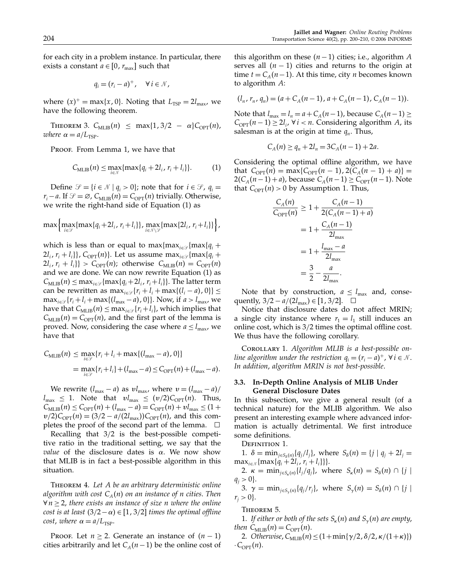for each city in a problem instance. In particular, there exists a constant  $a \in [0, r_{\text{max}}]$  such that

$$
q_i=(r_i-a)^+, \quad \forall\, i\in\mathcal{N},
$$

where  $(x)^+$  = max{x, 0}. Noting that  $L_{\text{TSP}} = 2l_{\text{max}}$ , we have the following theorem.

THEOREM 3.  $C_{\text{MLIB}}(n) \leq \max\{1, 3/2 - \alpha\}C_{\text{OPT}}(n)$ , where  $\alpha = a/L_{\text{TSP}}$ .

Proof. From Lemma 1, we have that

$$
C_{\text{MLIB}}(n) \le \max_{i \in \mathcal{N}} \{ \max\{ q_i + 2l_i, r_i + l_i \} \}.
$$
 (1)

Define  $\mathcal{S} = \{i \in \mathcal{N} \mid q_i > 0\}$ ; note that for  $i \in \mathcal{S}$ ,  $q_i =$  $r_i-a$ . If  $\mathcal{S} = \emptyset$ ,  $C_{MLIB}(n) = C_{OPT}(n)$  trivially. Otherwise, we write the right-hand side of Equation (1) as

$$
\max\left\{\max_{i\in\mathcal{S}}\{\max\{q_i+2l_i,r_i+l_i\}\},\max_{i\in\mathcal{N}\setminus\mathcal{S}}\{\max\{2l_i,r_i+l_i\}\}\right\},\
$$

which is less than or equal to max $\{max_{i \in \mathcal{S}}\{max\{q_i + \}\}$  $2l_i$ ,  $r_i + l_i$ },  $C_{\text{OPT}}(n)$ . Let us assume max $_{i \in \mathcal{S}}$ {max{ $q_i +$  $2l_i$ ,  $r_i + l_i$ } >  $C_{\text{OPT}}(n)$ ; otherwise  $C_{\text{MLIB}}(n) = C_{\text{OPT}}(n)$ and we are done. We can now rewrite Equation (1) as  $C_{\text{MLIB}}(n) \leq \max_{i \in \mathcal{S}} \{ \max\{q_i+2l_i, r_i+l_i\} \}.$  The latter term can be rewritten as  $\max_{i \in \mathcal{S}} \{r_i + l_i + \max\{(l_i - a), 0\}\}\leq$  $\max_{i \in \mathcal{S}} \{r_i + l_i + \max\{(l_{\max} - a), 0\}\}\)$ . Now, if  $a > l_{\max}$ , we have that  $C_{MLIB}(n) \leq \max_{i \in \mathcal{S}} \{r_i + l_i\}$ , which implies that  $C_{MLIB}(n) = C_{OPT}(n)$ , and the first part of the lemma is proved. Now, considering the case where  $a \leq l_{\text{max}}$ , we have that

$$
C_{\text{MLIB}}(n) \le \max_{i \in \mathcal{S}} \{r_i + l_i + \max\{(l_{\max} - a), 0\}\}
$$
  
= 
$$
\max_{i \in \mathcal{S}} \{r_i + l_i\} + (l_{\max} - a) \le C_{\text{OPT}}(n) + (l_{\max} - a).
$$

We rewrite  $(l_{\text{max}} - a)$  as  $vl_{\text{max}}$ , where  $v = (l_{\text{max}} - a)$ /  $l_{\text{max}} \leq 1$ . Note that  $vl_{\text{max}} \leq (v/2)C_{\text{OPT}}(n)$ . Thus,  $C_{MLIB}(n) \leq C_{\text{OPT}}(n) + (l_{\text{max}} - a) = C_{\text{OPT}}(n) + v l_{\text{max}} \leq (1 +$  $v/2)C_{\text{OPT}}(n) = (3/2 - a/(2l_{\text{max}}))C_{\text{OPT}}(n)$ , and this completes the proof of the second part of the lemma.  $\Box$ 

Recalling that 3/2 is the best-possible competitive ratio in the traditional setting, we say that the *value* of the disclosure dates is  $\alpha$ . We now show that MLIB is in fact a best-possible algorithm in this situation.

Theorem 4. Let A be an arbitrary deterministic online algorithm with cost  $C_A(n)$  on an instance of n cities. Then  $\forall n \geq 2$ , there exists an instance of size n where the online cost is at least  $(3/2 - \alpha) \in [1, 3/2]$  times the optimal offline cost, where  $\alpha = a/L_{\text{TSP}}$ .

PROOF. Let  $n \geq 2$ . Generate an instance of  $(n - 1)$ cities arbitrarily and let  $C_A(n-1)$  be the online cost of this algorithm on these  $(n−1)$  cities; i.e., algorithm A serves all  $(n - 1)$  cities and returns to the origin at time  $t = C_A(n-1)$ . At this time, city *n* becomes known to algorithm A:

$$
(l_n, r_n, q_n) = (a + C_A(n-1), a + C_A(n-1), C_A(n-1)).
$$

Note that  $l_{\max} = l_n = a + C_A(n-1)$ , because  $C_A(n-1) \ge$  $C_{\text{OPT}}(n-1) \geq 2l_i$ ,  $\forall i < n$ . Considering algorithm A, its salesman is at the origin at time  $q_n$ . Thus,

$$
C_A(n) \ge q_n + 2l_n = 3C_A(n-1) + 2a.
$$

Considering the optimal offline algorithm, we have that  $C_{\text{OPT}}(n) = \max\{C_{\text{OPT}}(n-1), 2(C_A(n-1) + a)\}$  =  $2(C_A(n-1)+a)$ , because  $C_A(n-1) \geq C_{\text{OPT}}(n-1)$ . Note that  $C_{\text{OPT}}(n) > 0$  by Assumption 1. Thus,

$$
\frac{C_A(n)}{C_{\text{OPT}}(n)} \ge 1 + \frac{C_A(n-1)}{2(C_A(n-1) + a)}
$$
  
=  $1 + \frac{C_A(n-1)}{2l_{\text{max}}}$   
=  $1 + \frac{l_{\text{max}} - a}{2l_{\text{max}}}$   
=  $\frac{3}{2} - \frac{a}{2l_{\text{max}}}$ .

Note that by construction,  $a \leq l_{\text{max}}$  and, consequently,  $3/2 - a/(2l_{\text{max}}) \in [1, 3/2]$ .  $\square$ 

Notice that disclosure dates do not affect MRIN; a single city instance where  $r_1 = l_1$  still induces an online cost, which is 3/2 times the optimal offline cost. We thus have the following corollary.

Corollary 1. Algorithm MLIB is a best-possible online algorithm under the restriction  $q_i = (r_i - a)^+$ ,  $\forall i \in \mathcal{N}$ . In addition, algorithm MRIN is not best-possible.

### 3.3. In-Depth Online Analysis of MLIB Under General Disclosure Dates

In this subsection, we give a general result (of a technical nature) for the MLIB algorithm. We also present an interesting example where advanced information is actually detrimental. We first introduce some definitions.

DEFINITION 1.

1.  $\delta = \min_{j \in S_{\delta}(n)} \{q_j/l_j\}$ , where  $S_{\delta}(n) = \{j | q_j + 2l_j = 1\}$  $\max_{i \in \mathcal{N}} \{ \max\{q_i + 2l_i, r_i + l_i\} \}.$ 

2.  $\kappa = \min_{j \in S_{\kappa}(n)} \{l_j/q_j\}$ , where  $S_{\kappa}(n) = S_{\delta}(n) \cap \{j \mid \kappa\}$  $q_i > 0$ .

3.  $\gamma = \min_{j \in S_{\gamma}(n)} \{q_j/r_j\}$ , where  $S_{\gamma}(n) = S_{\delta}(n) \cap \{j \mid \mathcal{S}_{\delta}(n)\}$  $r_i > 0$ .

Theorem 5.

1. If either or both of the sets  $S_{\kappa}(n)$  and  $S_{\gamma}(n)$  are empty, then  $C_{\text{MLIB}}(n) = C_{\text{OPT}}(n)$ .

2. Otherwise,  $C_{\text{MLIB}}(n) \leq (1+\min\{\gamma/2, \delta/2, \kappa/(1+\kappa)\})$  $\cdot C_{\text{OPT}}(n)$ .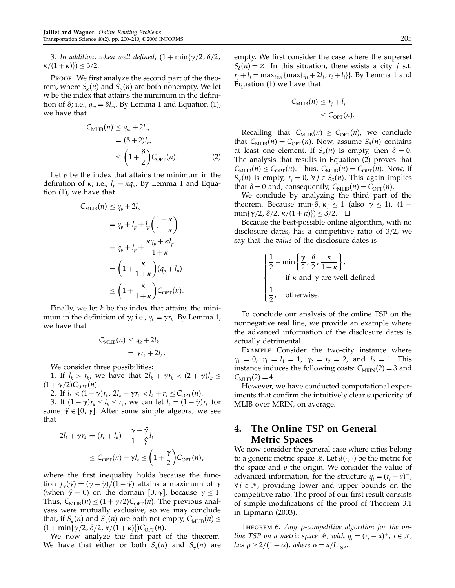3. In addition, when well defined,  $(1 + min\{\gamma/2, \delta/2, \gamma\})$  $\kappa/(1+\kappa)) \leq 3/2$ .

Proof. We first analyze the second part of the theorem, where  $S_{k}(n)$  and  $S_{k}(n)$  are both nonempty. We let  $m$  be the index that attains the minimum in the definition of  $\delta$ ; i.e.,  $q_m = \delta l_m$ . By Lemma 1 and Equation (1), we have that

$$
C_{\text{MLIB}}(n) \le q_m + 2l_m
$$
  
=  $(\delta + 2)l_m$   

$$
\le \left(1 + \frac{\delta}{2}\right) C_{\text{OPT}}(n).
$$
 (2)

Let  $p$  be the index that attains the minimum in the definition of  $\kappa$ ; i.e.,  $l_p = \kappa q_p$ . By Lemma 1 and Equation  $(1)$ , we have that

$$
C_{\text{MLIB}}(n) \le q_p + 2l_p
$$
  
=  $q_p + l_p + l_p \left(\frac{1+\kappa}{1+\kappa}\right)$   
=  $q_p + l_p + \frac{\kappa q_p + \kappa l_p}{1+\kappa}$   
=  $\left(1 + \frac{\kappa}{1+\kappa}\right) (q_p + l_p)$   
 $\le \left(1 + \frac{\kappa}{1+\kappa}\right) C_{\text{OPT}}(n).$ 

Finally, we let  $k$  be the index that attains the minimum in the definition of  $\gamma$ ; i.e.,  $q_k = \gamma r_k$ . By Lemma 1, we have that

$$
C_{\text{MLIB}}(n) \le q_k + 2l_k
$$
  
=  $\gamma r_k + 2l_k$ .

We consider three possibilities:

1. If  $l_k > r_k$ , we have that  $2l_k + \gamma r_k < (2 + \gamma)l_k \leq$  $(1 + \gamma/2)C_{\text{OPT}}(n)$ .

2. If  $l_k < (1 - \gamma) r_k$ ,  $2l_k + \gamma r_k < l_k + r_k \leq C_{\text{OPT}}(n)$ .

3. If  $(1 - \gamma)r_k \leq l_k \leq r_k$ , we can let  $l_k = (1 - \hat{\gamma})r_k$  for some  $\hat{\gamma} \in [0, \gamma]$ . After some simple algebra, we see that

$$
2l_k + \gamma r_k = (r_k + l_k) + \frac{\gamma - \hat{\gamma}}{1 - \hat{\gamma}} l_k
$$
  

$$
\leq C_{\text{OPT}}(n) + \gamma l_k \leq \left(1 + \frac{\gamma}{2}\right) C_{\text{OPT}}(n),
$$

where the first inequality holds because the function  $f_{\gamma}(\hat{\gamma}) = (\gamma - \hat{\gamma})/(1 - \hat{\gamma})$  attains a maximum of  $\gamma$ (when  $\hat{\gamma} = 0$ ) on the domain [0,  $\gamma$ ], because  $\gamma \leq 1$ . Thus,  $C_{MLIB}(n) \leq (1 + \gamma/2)C_{OPT}(n)$ . The previous analyses were mutually exclusive, so we may conclude that, if  $S_{\kappa}(n)$  and  $S_{\gamma}(n)$  are both not empty,  $C_{\text{MLIB}}(n) \leq$  $(1 + \min{\gamma/2, \delta/2, \kappa/(1 + \kappa)})C_{\text{OPT}}(n)$ .

We now analyze the first part of the theorem. We have that either or both  $S_{\kappa}(n)$  and  $S_{\gamma}(n)$  are

empty. We first consider the case where the superset  $S_{\delta}(n) = \emptyset$ . In this situation, there exists a city j s.t.  $r_i + l_i = \max_{i \in \mathcal{N}} \{\max\{q_i + 2l_i, r_i + l_i\}\}\)$ . By Lemma 1 and Equation  $(1)$  we have that

$$
C_{\text{MLIB}}(n) \le r_j + l_j
$$
  

$$
\le C_{\text{OPT}}(n).
$$

Recalling that  $C_{MLIB}(n) \geq C_{OPT}(n)$ , we conclude that  $C_{\text{MLIB}}(n) = C_{\text{OPT}}(n)$ . Now, assume  $S_{\delta}(n)$  contains at least one element. If  $S_{\kappa}(n)$  is empty, then  $\delta = 0$ . The analysis that results in Equation (2) proves that  $C_{\text{MLIB}}(n) \leq C_{\text{OPT}}(n)$ . Thus,  $C_{\text{MLIB}}(n) = C_{\text{OPT}}(n)$ . Now, if  $S_{\gamma}(n)$  is empty,  $r_j = 0$ ,  $\forall j \in S_{\delta}(n)$ . This again implies that  $\delta = 0$  and, consequently,  $C_{MLIB}(n) = C_{OPT}(n)$ .

We conclude by analyzing the third part of the theorem. Because min $\{\delta, \kappa\} \leq 1$  (also  $\gamma \leq 1$ ),  $(1 +$  $\min\{\gamma/2, \delta/2, \kappa/(1+\kappa)\}\leq 3/2. \quad \Box$ 

Because the best-possible online algorithm, with no disclosure dates, has a competitive ratio of 3/2, we say that the value of the disclosure dates is

$$
\begin{cases} \frac{1}{2} - \min\left\{\frac{\gamma}{2}, \frac{\delta}{2}, \frac{\kappa}{1+\kappa}\right\}, \\ \text{if } \kappa \text{ and } \gamma \text{ are well defined} \\ \frac{1}{2}, \quad \text{otherwise.} \end{cases}
$$

To conclude our analysis of the online TSP on the nonnegative real line, we provide an example where the advanced information of the disclosure dates is actually detrimental.

Example. Consider the two-city instance where  $q_1 = 0$ ,  $r_1 = l_1 = 1$ ,  $q_2 = r_2 = 2$ , and  $l_2 = 1$ . This instance induces the following costs:  $C_{MRIN}(2) = 3$  and  $C_{\text{MLIB}}(2) = 4.$ 

However, we have conducted computational experiments that confirm the intuitively clear superiority of MLIB over MRIN, on average.

# 4. The Online TSP on General Metric Spaces

We now consider the general case where cities belong to a generic metric space  $M$ . Let  $d(\cdot, \cdot)$  be the metric for the space and  $\sigma$  the origin. We consider the value of advanced information, for the structure  $q_i = (r_i - a)^+$ ,  $\forall i \in \mathcal{N}$ , providing lower and upper bounds on the competitive ratio. The proof of our first result consists of simple modifications of the proof of Theorem 3.1 in Lipmann (2003).

THEOREM 6. Any  $\rho$ -competitive algorithm for the online TSP on a metric space M, with  $q_i = (r_i - a)^+$ ,  $i \in \mathcal{N}$ , has  $\rho \geq 2/(1+\alpha)$ , where  $\alpha = a/L_{\text{TSP}}$ .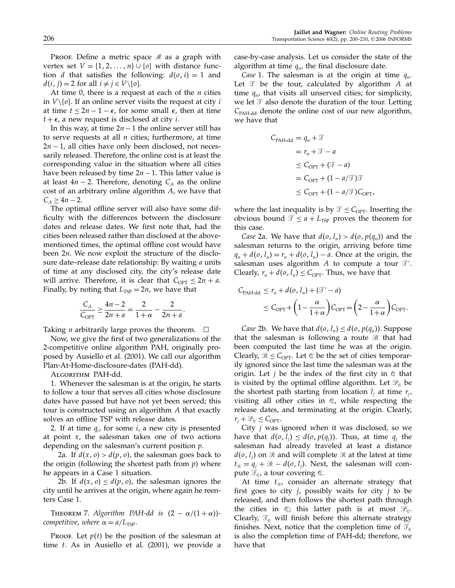Proof. Define a metric space  $M$  as a graph with vertex set  $V = \{1, 2, ..., n\} \cup \{o\}$  with distance function *d* that satisfies the following:  $d(o, i) = 1$  and  $d(i, j) = 2$  for all  $i \neq j \in V \setminus \{0\}.$ 

At time 0, there is a request at each of the  $n$  cities in  $V \setminus \{o\}$ . If an online server visits the request at city *i* at time  $t \leq 2n-1-\epsilon$ , for some small  $\epsilon$ , then at time  $t + \epsilon$ , a new request is disclosed at city *i*.

In this way, at time  $2n-1$  the online server still has to serve requests at all  $n$  cities; furthermore, at time  $2n - 1$ , all cities have only been disclosed, not necessarily released. Therefore, the online cost is at least the corresponding value in the situation where all cities have been released by time  $2n-1$ . This latter value is at least  $4n - 2$ . Therefore, denoting  $C_A$  as the online cost of an arbitrary online algorithm A, we have that  $C_A \geq 4n - 2$ .

The optimal offline server will also have some difficulty with the differences between the disclosure dates and release dates. We first note that, had the cities been released rather than disclosed at the abovementioned times, the optimal offline cost would have been  $2n$ . We now exploit the structure of the disclosure date–release date relationship: By waiting a units of time at any disclosed city, the city's release date will arrive. Therefore, it is clear that  $C_{\text{OPT}} \leq 2n + a$ . Finally, by noting that  $L_{\text{TSP}} = 2n$ , we have that

$$
\frac{C_A}{C_{\text{OPT}}} \ge \frac{4n-2}{2n+a} = \frac{2}{1+\alpha} - \frac{2}{2n+a}.
$$

Taking *n* arbitrarily large proves the theorem.  $\Box$ 

Now, we give the first of two generalizations of the 2-competitive online algorithm PAH, originally proposed by Ausiello et al. (2001). We call our algorithm Plan-At-Home-disclosure-dates (PAH-dd).

Algorithm PAH-dd.

1. Whenever the salesman is at the origin, he starts to follow a tour that serves all cities whose disclosure dates have passed but have not yet been served; this tour is constructed using an algorithm A that exactly solves an offline TSP with release dates.

2. If at time  $q_i$ , for some i, a new city is presented at point  $x$ , the salesman takes one of two actions depending on the salesman's current position p.

2a. If  $d(x, 0) > d(p, 0)$ , the salesman goes back to the origin (following the shortest path from  $p$ ) where he appears in a Case 1 situation.

2b. If  $d(x, 0) \leq d(p, 0)$ , the salesman ignores the city until he arrives at the origin, where again he reenters Case 1.

THEOREM 7. Algorithm PAH-dd is  $(2 - \alpha/(1 + \alpha))$ competitive, where  $\alpha = a/L_{\text{TSP}}$ .

Proof. Let  $p(t)$  be the position of the salesman at time  $t$ . As in Ausiello et al. (2001), we provide a case-by-case analysis. Let us consider the state of the algorithm at time  $q_n$ , the final disclosure date.

*Case* 1. The salesman is at the origin at time  $q_n$ . Let  $\mathcal T$  be the tour, calculated by algorithm A at time  $q_n$ , that visits all unserved cities; for simplicity, we let  $\mathcal T$  also denote the duration of the tour. Letting  $C_{\text{PAH-dd}}$  denote the online cost of our new algorithm, we have that

$$
C_{\text{PAH-dd}} = q_n + \mathcal{T}
$$
  
=  $r_n + \mathcal{T} - a$   

$$
\leq C_{\text{OPT}} + (\mathcal{T} - a)
$$
  
=  $C_{\text{OPT}} + (1 - a/\mathcal{T})\mathcal{T}$   

$$
\leq C_{\text{OPT}} + (1 - a/\mathcal{T})C_{\text{OPT}},
$$

where the last inequality is by  $\mathcal{T} \leq C_{\text{OPT}}$ . Inserting the obvious bound  $\mathcal{T} \le a + L_{\text{TSP}}$  proves the theorem for this case.

Case 2a. We have that  $d(o, l_n) > d(o, p(q_n))$  and the salesman returns to the origin, arriving before time  $q_n + d(o, l_n) = r_n + d(o, l_n) - a$ . Once at the origin, the salesman uses algorithm  $A$  to compute a tour  $\mathcal{T}'.$ Clearly,  $r_n + d(o, l_n) \leq C_{\text{OPT}}$ . Thus, we have that

$$
C_{\text{PAH-dd}} \le r_n + d(o, l_n) + (\mathcal{T}' - a)
$$
  
 
$$
\le C_{\text{OPT}} + \left(1 - \frac{\alpha}{1 + \alpha}\right) C_{\text{OPT}} = \left(2 - \frac{\alpha}{1 + \alpha}\right) C_{\text{OPT}}.
$$

*Case* 2b. We have that  $d(o, l_n) \leq d(o, p(q_n))$ . Suppose that the salesman is following a route  $\Re$  that had been computed the last time he was at the origin. Clearly,  $\mathcal{R} \leq C_{\text{OPT}}$ . Let  $\mathcal{Q}$  be the set of cities temporarily ignored since the last time the salesman was at the origin. Let *j* be the index of the first city in  $\mathcal Q$  that is visited by the optimal offline algorithm. Let  $\mathcal{P}_e$  be the shortest path starting from location  $l_i$  at time  $r_i$ , visiting all other cities in  $\mathcal{Q}$ , while respecting the release dates, and terminating at the origin. Clearly,  $r_i + \mathcal{P}_\mathcal{Q} \leq C_{\text{OPT}}$ .

City  $j$  was ignored when it was disclosed, so we have that  $d(o, l_i) \leq d(o, p(q_i))$ . Thus, at time  $q_i$  the salesman had already traveled at least a distance  $d(o, l_i)$  on  $\Re$  and will complete  $\Re$  at the latest at time  $t_{\mathcal{R}} = q_i + \mathcal{R} - d(o, l_i)$ . Next, the salesman will compute  $\mathcal{T}_{\varrho}$ , a tour covering  $\varnothing$ .

At time  $t_{\mathcal{R}}$ , consider an alternate strategy that first goes to city  $i$ , possibly waits for city  $i$  to be released, and then follows the shortest path through the cities in  $\mathcal{Q}$ ; this latter path is at most  $\mathcal{P}_{\mathcal{Q}}$ . Clearly,  $\mathcal{T}_{\alpha}$  will finish before this alternate strategy finishes. Next, notice that the completion time of  $\mathcal{T}_{\varnothing}$ is also the completion time of PAH-dd; therefore, we have that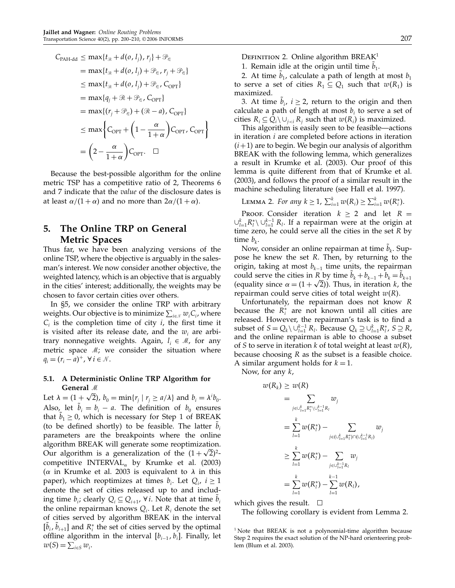$$
C_{\text{PAH-dd}} \leq \max\{t_{\mathcal{R}} + d(o, l_j), r_j\} + \mathcal{P}_{\mathcal{C}}
$$
  
= 
$$
\max\{t_{\mathcal{R}} + d(o, l_j) + \mathcal{P}_{\mathcal{C}}, r_j + \mathcal{P}_{\mathcal{C}}\}
$$
  

$$
\leq \max\{t_{\mathcal{R}} + d(o, l_j) + \mathcal{P}_{\mathcal{C}}, C_{\text{OPT}}\}
$$
  
= 
$$
\max\{q_j + \mathcal{R} + \mathcal{P}_{\mathcal{C}}, C_{\text{OPT}}\}
$$
  
= 
$$
\max\{(r_j + \mathcal{P}_{\mathcal{C}}) + (\mathcal{R} - a), C_{\text{OPT}}\}
$$
  

$$
\leq \max\left\{C_{\text{OPT}} + \left(1 - \frac{\alpha}{1 + \alpha}\right)C_{\text{OPT}}, C_{\text{OPT}}\right\}
$$
  
= 
$$
\left(2 - \frac{\alpha}{1 + \alpha}\right)C_{\text{OPT}}.\quad \Box
$$

Because the best-possible algorithm for the online metric TSP has a competitive ratio of 2, Theorems 6 and 7 indicate that the value of the disclosure dates is at least  $\alpha/(1 + \alpha)$  and no more than  $2\alpha/(1 + \alpha)$ .

# 5. The Online TRP on General Metric Spaces

Thus far, we have been analyzing versions of the online TSP, where the objective is arguably in the salesman's interest. We now consider another objective, the weighted latency, which is an objective that is arguably in the cities' interest; additionally, the weights may be chosen to favor certain cities over others.

In §5, we consider the online TRP with arbitrary weights. Our objective is to minimize  $\sum_{i\in\mathcal{N}} w_iC_i$ , where  $C_i$  is the completion time of city i, the first time it is visited after its release date, and the  $w_i$  are arbitrary nonnegative weights. Again,  $l_i \in \mathcal{M}$ , for any metric space  $\mathcal{M}$ ; we consider the situation where  $q_i = (r_i - a)^+$ ,  $\forall i \in \mathcal{N}$ .

# 5.1. A Deterministic Online TRP Algorithm for General  $\mathcal M$

Let  $\lambda = (1 + \sqrt{2})$ ,  $b_0 = \min\{r_j \mid r_j \ge a/\lambda\}$  and  $b_i = \lambda^i b_0$ . Also, let  $b_i = b_i - a$ . The definition of  $b_0$  ensures that  $b_1 \geq 0$ , which is necessary for Step 1 of BREAK (to be defined shortly) to be feasible. The latter  $b_i$ parameters are the breakpoints where the online algorithm BREAK will generate some reoptimization. Our algorithm is a generalization of the  $(1 + \sqrt{2})^2$ competitive INTERVAL<sub> $\alpha$ </sub> by Krumke et al. (2003) ( $\alpha$  in Krumke et al. 2003 is equivalent to  $\lambda$  in this paper), which reoptimizes at times  $b_i$ . Let  $Q_i$ ,  $i \ge 1$ denote the set of cities released up to and including time  $b_i$ ; clearly  $Q_i \subseteq Q_{i+1}$ ,  $\forall i$ . Note that at time  $b_i$ the online repairman knows  $Q_i$ . Let  $R_i$  denote the set of cities served by algorithm BREAK in the interval  $[b_i, b_{i+1}]$  and  $R_i^*$  the set of cities served by the optimal offline algorithm in the interval  $[b_{i-1}, b_i]$ . Finally, let  $w(S) = \sum_{i \in S} w_i$ .

DEFINITION 2. Online algorithm BREAK<sup>1</sup>

1. Remain idle at the origin until time  $b_1$ .

2. At time  $b_1$ , calculate a path of length at most  $b_1$ to serve a set of cities  $R_1 \subseteq Q_1$  such that  $w(R_1)$  is maximized.

3. At time  $b_i$ ,  $i \geq 2$ , return to the origin and then calculate a path of length at most  $b_i$  to serve a set of cities  $R_i \subseteq Q_i \setminus \bigcup_{j < i} R_j$  such that  $w(R_i)$  is maximized.

This algorithm is easily seen to be feasible—actions in iteration  $i$  are completed before actions in iteration  $(i+1)$  are to begin. We begin our analysis of algorithm BREAK with the following lemma, which generalizes a result in Krumke et al. (2003). Our proof of this lemma is quite different from that of Krumke et al. (2003), and follows the proof of a similar result in the machine scheduling literature (see Hall et al. 1997).

LEMMA 2. For any  $k \ge 1$ ,  $\sum_{i=1}^{k} w(R_i) \ge \sum_{i=1}^{k} w(R_i^*)$ .

PROOF. Consider iteration  $k \ge 2$  and let  $R =$  $\cup_{l=1}^{k} R_l^* \setminus \cup_{l=1}^{k-1} R_l$ . If a repairman were at the origin at time zero, he could serve all the cities in the set  $R$  by time  $b_k$ .

Now, consider an online repairman at time  $b_k$ . Suppose he knew the set R. Then, by returning to the origin, taking at most  $b_{k-1}$  time units, the repairman could serve the cities in R by time  $b_k + b_{k-1} + b_k = b_{k+1}$ (equality since  $\alpha = (1 + \sqrt{2})$ ). Thus, in iteration k, the repairman could serve cities of total weight  $w(R)$ .

Unfortunately, the repairman does not know R because the  $R_i^*$  are not known until all cities are released. However, the repairman's task is to find a subset of  $S = Q_k \setminus \cup_{l=1}^{k-1} R_l$ . Because  $Q_k \supseteq \cup_{l=1}^k R_l^*$ ,  $S \supseteq R$ , and the online repairman is able to choose a subset of S to serve in iteration k of total weight at least  $w(R)$ , because choosing R as the subset is a feasible choice. A similar argument holds for  $k = 1$ .

Now, for any  $k$ ,

$$
w(R_k) \ge w(R)
$$
  
=  $\sum_{j \in \cup_{l=1}^k R_l^* \setminus \cup_{l=1}^{k-1} R_l} w_j$   
=  $\sum_{l=1}^k w(R_l^*) - \sum_{j \in (\cup_{l=1}^k R_l^*) \cap (\cup_{l=1}^{k-1} R_l)} w_j$   
 $\ge \sum_{l=1}^k w(R_l^*) - \sum_{j \in \cup_{l=1}^{k-1} R_l} w_j$   
=  $\sum_{l=1}^k w(R_l^*) - \sum_{l=1}^{k-1} w(R_l),$ 

which gives the result.  $\square$ 

The following corollary is evident from Lemma 2.

<sup>&</sup>lt;sup>1</sup> Note that BREAK is not a polynomial-time algorithm because Step 2 requires the exact solution of the NP-hard orienteering problem (Blum et al. 2003).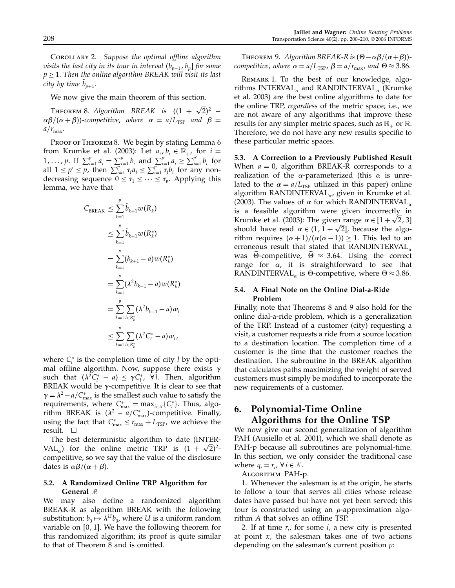Corollary 2. Suppose the optimal offline algorithm visits the last city in its tour in interval  $(b_{p-1}, b_p]$  for some  $p \geq 1$ . Then the online algorithm BREAK will visit its last city by time  $b_{p+1}$ .

We now give the main theorem of this section.

THEOREM 8. Algorithm BREAK is  $((1 + \sqrt{2})^2 \alpha\beta/(\alpha + \beta)$ )-competitive, where  $\alpha = a/L_{\text{TSP}}$  and  $\beta =$  $a/r_{\text{max}}$ .

PROOF OF THEOREM 8. We begin by stating Lemma 6 from Krumke et al. (2003): Let  $a_i, b_i \in \mathbb{R}_+$ , for  $i =$  $1, \ldots, p$ . If  $\sum_{i=1}^{p} a_i = \sum_{i=1}^{p} b_i$  and  $\sum_{i=1}^{p'} a_i \ge \sum_{i=1}^{p'} b_i$  for all  $1 \leq p' \leq p$ , then  $\sum_{i=1}^{p-1} \tau_i a_i \leq \sum_{i=1}^{p} \tau_i b_i$  for any nondecreasing sequence  $0 \leq \tau_1 \leq \cdots \leq \tau_p$ . Applying this lemma, we have that

$$
C_{\text{BREAK}} \leq \sum_{k=1}^{p} \tilde{b}_{k+1} w(R_k)
$$
  
\n
$$
\leq \sum_{k=1}^{p} \tilde{b}_{k+1} w(R_k^*)
$$
  
\n
$$
= \sum_{k=1}^{p} (b_{k+1} - a) w(R_k^*)
$$
  
\n
$$
= \sum_{k=1}^{p} (\lambda^2 b_{k-1} - a) w(R_k^*)
$$
  
\n
$$
= \sum_{k=1}^{p} \sum_{l \in R_k^*} (\lambda^2 b_{k-1} - a) w_l
$$
  
\n
$$
\leq \sum_{k=1}^{p} \sum_{l \in R_k^*} (\lambda^2 C_l^* - a) w_l,
$$

where  $C_l^*$  is the completion time of city l by the optimal offline algorithm. Now, suppose there exists  $\gamma$ such that  $(\lambda^2 C_l^* - a) \leq \gamma C_l^*$ ,  $\forall l$ . Then, algorithm BREAK would be  $\gamma$ -competitive. It is clear to see that  $\gamma = \lambda^2 - a/C_{\text{max}}^*$  is the smallest such value to satisfy the requirements, where  $C_{\text{max}}^* = \max_{i \in \mathcal{N}} \{C_i^*\}$ . Thus, algorithm BREAK is  $(\lambda^2 - a/C_{\text{max}}^*)$ -competitive. Finally, using the fact that  $C_{\text{max}}^* \leq r_{\text{max}} + L_{\text{TSP}}$ , we achieve the result.  $\square$ 

The best deterministic algorithm to date (INTER-VAL<sub>a</sub>) for the online metric TRP is  $(1 + \sqrt{2})^2$ competitive, so we say that the value of the disclosure dates is  $\alpha\beta/(\alpha+\beta)$ .

### 5.2. A Randomized Online TRP Algorithm for General  $\mathcal M$

We may also define a randomized algorithm BREAK-R as algorithm BREAK with the following substitution:  $b_0 \mapsto \lambda^{U} b_0$ , where U is a uniform random variable on  $[0, 1]$ . We have the following theorem for this randomized algorithm; its proof is quite similar to that of Theorem 8 and is omitted.

THEOREM 9. Algorithm BREAK-R is  $(\Theta - \alpha \beta/(\alpha + \beta))$ competitive, where  $\alpha = a/L_{\text{TSP}}$ ,  $\beta = a/r_{\text{max}}$ , and  $\Theta \approx 3.86$ .

Remark 1. To the best of our knowledge, algorithms INTERVAL<sub> $\alpha$ </sub> and RANDINTERVAL<sub> $\alpha$ </sub> (Krumke et al. 2003) are the best online algorithms to date for the online TRP, regardless of the metric space; i.e., we are not aware of any algorithms that improve these results for any simpler metric spaces, such as  $\mathbb{R}_+$  or  $\mathbb{R}$ . Therefore, we do not have any new results specific to these particular metric spaces.

5.3. A Correction to a Previously Published Result When  $a = 0$ , algorithm BREAK-R corresponds to a realization of the  $\alpha$ -parameterized (this  $\alpha$  is unrelated to the  $\alpha = a/L_{\text{TSP}}$  utilized in this paper) online algorithm RANDINTERVAL $_{\alpha}$ , given in Krumke et al. (2003). The values of  $\alpha$  for which RANDINTERVAL<sub> $\alpha$ </sub> is a feasible algorithm were given incorrectly in Krumke et al. (2003): The given range  $\alpha \in [1 + \sqrt{2}, 3]$ should have read  $\alpha \in (1, 1 + \sqrt{2}]$ , because the algorithm requires  $(\alpha + 1)/(\alpha(\alpha - 1)) \geq 1$ . This led to an erroneous result that stated that RANDINTERVAL<sub> $\alpha$ </sub> was  $\Theta$ -competitive,  $\Theta \approx 3.64$ . Using the correct range for  $\alpha$ , it is straightforward to see that RANDINTERVAL<sub> $\alpha$ </sub> is  $\Theta$ -competitive, where  $\Theta \approx 3.86$ .

### 5.4. A Final Note on the Online Dial-a-Ride Problem

Finally, note that Theorems 8 and 9 also hold for the online dial-a-ride problem, which is a generalization of the TRP. Instead of a customer (city) requesting a visit, a customer requests a ride from a source location to a destination location. The completion time of a customer is the time that the customer reaches the destination. The subroutine in the BREAK algorithm that calculates paths maximizing the weight of served customers must simply be modified to incorporate the new requirements of a customer.

# 6. Polynomial-Time Online Algorithms for the Online TSP

We now give our second generalization of algorithm PAH (Ausiello et al. 2001), which we shall denote as PAH-p because all subroutines are polynomial-time. In this section, we only consider the traditional case where  $q_i = r_i$ ,  $\forall i \in \mathcal{N}$ .

Algorithm PAH-p.

1. Whenever the salesman is at the origin, he starts to follow a tour that serves all cities whose release dates have passed but have not yet been served; this tour is constructed using an  $\rho$ -approximation algorithm  $A$  that solves an offline TSP.

2. If at time  $r_i$ , for some i, a new city is presented at point  $x$ , the salesman takes one of two actions depending on the salesman's current position  $p$ :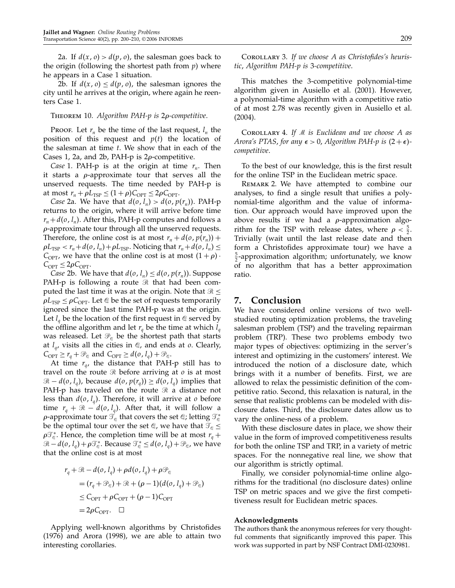2a. If  $d(x, 0) > d(p, 0)$ , the salesman goes back to the origin (following the shortest path from  $p$ ) where he appears in a Case 1 situation.

2b. If  $d(x, 0) \leq d(p, 0)$ , the salesman ignores the city until he arrives at the origin, where again he reenters Case 1.

#### THEOREM 10. Algorithm PAH-p is 2p-competitive.

Proof. Let  $r_n$  be the time of the last request,  $l_n$  the position of this request and  $p(t)$  the location of the salesman at time  $t$ . We show that in each of the Cases 1, 2a, and 2b, PAH- $p$  is 2 $\rho$ -competitive.

*Case* 1. PAH-p is at the origin at time  $r_n$ . Then it starts a  $\rho$ -approximate tour that serves all the unserved requests. The time needed by PAH-p is at most  $r_n + \rho L_{\text{TSP}} \leq (1 + \rho) C_{\text{OPT}} \leq 2\rho C_{\text{OPT}}$ .

Case 2a. We have that  $d(o, l_n) > d(o, p(r_n))$ . PAH-p returns to the origin, where it will arrive before time  $r_n + d(o, l_n)$ . After this, PAH-p computes and follows a  $\rho$ -approximate tour through all the unserved requests. Therefore, the online cost is at most  $r_n + d(o, p(r_n)) +$  $\rho L_{\text{TSP}} < r_n + d(o, l_n) + \rho L_{\text{TSP}}$ . Noticing that  $r_n + d(o, l_n) \leq$  $C_{\text{OPT}}$ , we have that the online cost is at most  $(1 + \rho)$ .  $C_{\text{OPT}} \leq 2\rho C_{\text{OPT}}.$ 

*Case 2b.* We have that  $d(o, l_n) \leq d(o, p(r_n))$ . Suppose PAH-p is following a route  $\Re$  that had been computed the last time it was at the origin. Note that  $\Re \leq$  $\rho L_{\text{TSP}} \leq \rho C_{\text{OPT}}$ . Let  $\mathcal Q$  be the set of requests temporarily ignored since the last time PAH-p was at the origin. Let  $l_q$  be the location of the first request in  $\mathcal Q$  served by the offline algorithm and let  $r_a$  be the time at which  $l_a$ was released. Let  $\mathcal{P}_{\mathcal{C}}$  be the shortest path that starts at  $l_q$ , visits all the cities in  $\mathcal Q$ , and ends at  $o$ . Clearly,  $C_{\text{OPT}} \ge r_q + \mathcal{P}_{\text{Q}}$  and  $C_{\text{OPT}} \ge d(o, l_q) + \mathcal{P}_{\text{Q}}$ .

At time  $r_{q}$ , the distance that PAH-p still has to travel on the route  $\Re$  before arriving at  $o$  is at most  $\mathcal{R} - d(o, l_q)$ , because  $d(o, p(r_q)) \geq d(o, l_q)$  implies that PAH-p has traveled on the route  $\Re$  a distance not less than  $d(o, l_q)$ . Therefore, it will arrive at o before time  $r_a + \Re - d(o, l_a)$ . After that, it will follow a  $\rho$ -approximate tour  $\mathcal{T}_\mathscr{C}$  that covers the set  $\mathscr{Q};$  letting  $\mathcal{T}_\mathscr{C}^*$ be the optimal tour over the set  $\mathcal{Q}$ , we have that  $\mathcal{T}_{\mathcal{Q}} \leq$  $\rho \mathcal{T}_{\mathcal{C}}^*$ . Hence, the completion time will be at most  $r_q$  +  $\mathcal{R}-d(o, l_q)+\rho\mathcal{T}_{\mathcal{C}}^*$ . Because  $\mathcal{T}_{\mathcal{C}}^*\leq d(o, l_q)+\mathcal{P}_{\mathcal{C}}$ , we have that the online cost is at most

$$
r_q + \mathcal{R} - d(o, l_q) + \rho d(o, l_q) + \rho \mathcal{P}_e
$$
  
=  $(r_q + \mathcal{P}_e) + \mathcal{R} + (\rho - 1)(d(o, l_q) + \mathcal{P}_e)$   
 $\leq C_{\text{OPT}} + \rho C_{\text{OPT}} + (\rho - 1)C_{\text{OPT}}$   
=  $2\rho C_{\text{OPT}}$ .  $\square$ 

Applying well-known algorithms by Christofides (1976) and Arora (1998), we are able to attain two interesting corollaries.

COROLLARY 3. If we choose A as Christofides's heuristic, Algorithm PAH-p is 3-competitive.

This matches the 3-competitive polynomial-time algorithm given in Ausiello et al. (2001). However, a polynomial-time algorithm with a competitive ratio of at most 2.78 was recently given in Ausiello et al. (2004).

COROLLARY 4. If  $M$  is Euclidean and we choose  $A$  as Arora's PTAS, for any  $\epsilon > 0$ , Algorithm PAH-p is  $(2+\epsilon)$ competitive.

To the best of our knowledge, this is the first result for the online TSP in the Euclidean metric space.

Remark 2. We have attempted to combine our analyses, to find a single result that unifies a polynomial-time algorithm and the value of information. Our approach would have improved upon the above results if we had a  $\rho$ -approximation algorithm for the TSP with release dates, where  $\rho < \frac{5}{2}$ . Trivially (wait until the last release date and then form a Christofides approximate tour) we have a  $\frac{5}{2}$ -approximation algorithm; unfortunately, we know of no algorithm that has a better approximation ratio.

## 7. Conclusion

We have considered online versions of two wellstudied routing optimization problems, the traveling salesman problem (TSP) and the traveling repairman problem (TRP). These two problems embody two major types of objectives: optimizing in the server's interest and optimizing in the customers' interest. We introduced the notion of a disclosure date, which brings with it a number of benefits. First, we are allowed to relax the pessimistic definition of the competitive ratio. Second, this relaxation is natural, in the sense that realistic problems can be modeled with disclosure dates. Third, the disclosure dates allow us to vary the online-ness of a problem.

With these disclosure dates in place, we show their value in the form of improved competitiveness results for both the online TSP and TRP, in a variety of metric spaces. For the nonnegative real line, we show that our algorithm is strictly optimal.

Finally, we consider polynomial-time online algorithms for the traditional (no disclosure dates) online TSP on metric spaces and we give the first competitiveness result for Euclidean metric spaces.

#### Acknowledgments

The authors thank the anonymous referees for very thoughtful comments that significantly improved this paper. This work was supported in part by NSF Contract DMI-0230981.